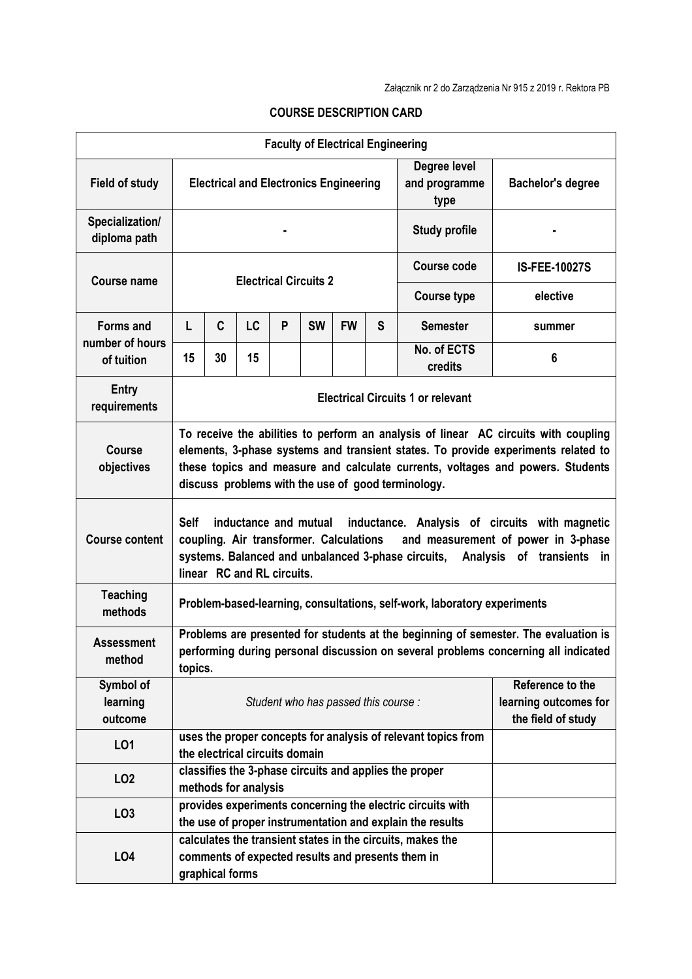| <b>Faculty of Electrical Engineering</b> |                                                                                                                                                                                                                                                                                                                  |                                                                                |           |   |           |           |                                                                 |                                       |                          |  |
|------------------------------------------|------------------------------------------------------------------------------------------------------------------------------------------------------------------------------------------------------------------------------------------------------------------------------------------------------------------|--------------------------------------------------------------------------------|-----------|---|-----------|-----------|-----------------------------------------------------------------|---------------------------------------|--------------------------|--|
| <b>Field of study</b>                    | <b>Electrical and Electronics Engineering</b>                                                                                                                                                                                                                                                                    |                                                                                |           |   |           |           |                                                                 | Degree level<br>and programme<br>type | <b>Bachelor's degree</b> |  |
| Specialization/<br>diploma path          |                                                                                                                                                                                                                                                                                                                  |                                                                                |           |   |           |           |                                                                 | <b>Study profile</b>                  |                          |  |
| <b>Course name</b>                       | <b>Electrical Circuits 2</b>                                                                                                                                                                                                                                                                                     |                                                                                |           |   |           |           |                                                                 | <b>Course code</b>                    | <b>IS-FEE-10027S</b>     |  |
|                                          | <b>Course type</b>                                                                                                                                                                                                                                                                                               |                                                                                |           |   |           |           |                                                                 |                                       | elective                 |  |
| <b>Forms and</b>                         | L                                                                                                                                                                                                                                                                                                                | C                                                                              | <b>LC</b> | P | <b>SW</b> | <b>FW</b> | S                                                               | <b>Semester</b>                       | summer                   |  |
| number of hours<br>of tuition            | 15                                                                                                                                                                                                                                                                                                               | 30                                                                             | 15        |   |           |           |                                                                 | No. of ECTS<br>credits                | 6                        |  |
| Entry<br>requirements                    | <b>Electrical Circuits 1 or relevant</b>                                                                                                                                                                                                                                                                         |                                                                                |           |   |           |           |                                                                 |                                       |                          |  |
| <b>Course</b><br>objectives              | To receive the abilities to perform an analysis of linear AC circuits with coupling<br>elements, 3-phase systems and transient states. To provide experiments related to<br>these topics and measure and calculate currents, voltages and powers. Students<br>discuss problems with the use of good terminology. |                                                                                |           |   |           |           |                                                                 |                                       |                          |  |
| <b>Course content</b>                    | <b>Self</b><br>inductance and mutual<br>inductance. Analysis of circuits with magnetic<br>coupling. Air transformer. Calculations<br>and measurement of power in 3-phase<br>systems. Balanced and unbalanced 3-phase circuits,<br>Analysis of transients<br>in<br>linear RC and RL circuits.                     |                                                                                |           |   |           |           |                                                                 |                                       |                          |  |
| <b>Teaching</b><br>methods               | Problem-based-learning, consultations, self-work, laboratory experiments                                                                                                                                                                                                                                         |                                                                                |           |   |           |           |                                                                 |                                       |                          |  |
| <b>Assessment</b><br>method              | Problems are presented for students at the beginning of semester. The evaluation is<br>performing during personal discussion on several problems concerning all indicated<br>topics.                                                                                                                             |                                                                                |           |   |           |           |                                                                 |                                       |                          |  |
| Symbol of<br>learning<br>outcome         | Student who has passed this course:                                                                                                                                                                                                                                                                              |                                                                                |           |   |           |           | Reference to the<br>learning outcomes for<br>the field of study |                                       |                          |  |
| LO1                                      | uses the proper concepts for analysis of relevant topics from<br>the electrical circuits domain                                                                                                                                                                                                                  |                                                                                |           |   |           |           |                                                                 |                                       |                          |  |
| LO <sub>2</sub>                          |                                                                                                                                                                                                                                                                                                                  | classifies the 3-phase circuits and applies the proper<br>methods for analysis |           |   |           |           |                                                                 |                                       |                          |  |
| LO <sub>3</sub>                          | provides experiments concerning the electric circuits with<br>the use of proper instrumentation and explain the results                                                                                                                                                                                          |                                                                                |           |   |           |           |                                                                 |                                       |                          |  |
| LO <sub>4</sub>                          | calculates the transient states in the circuits, makes the<br>comments of expected results and presents them in<br>graphical forms                                                                                                                                                                               |                                                                                |           |   |           |           |                                                                 |                                       |                          |  |

## **COURSE DESCRIPTION CARD**